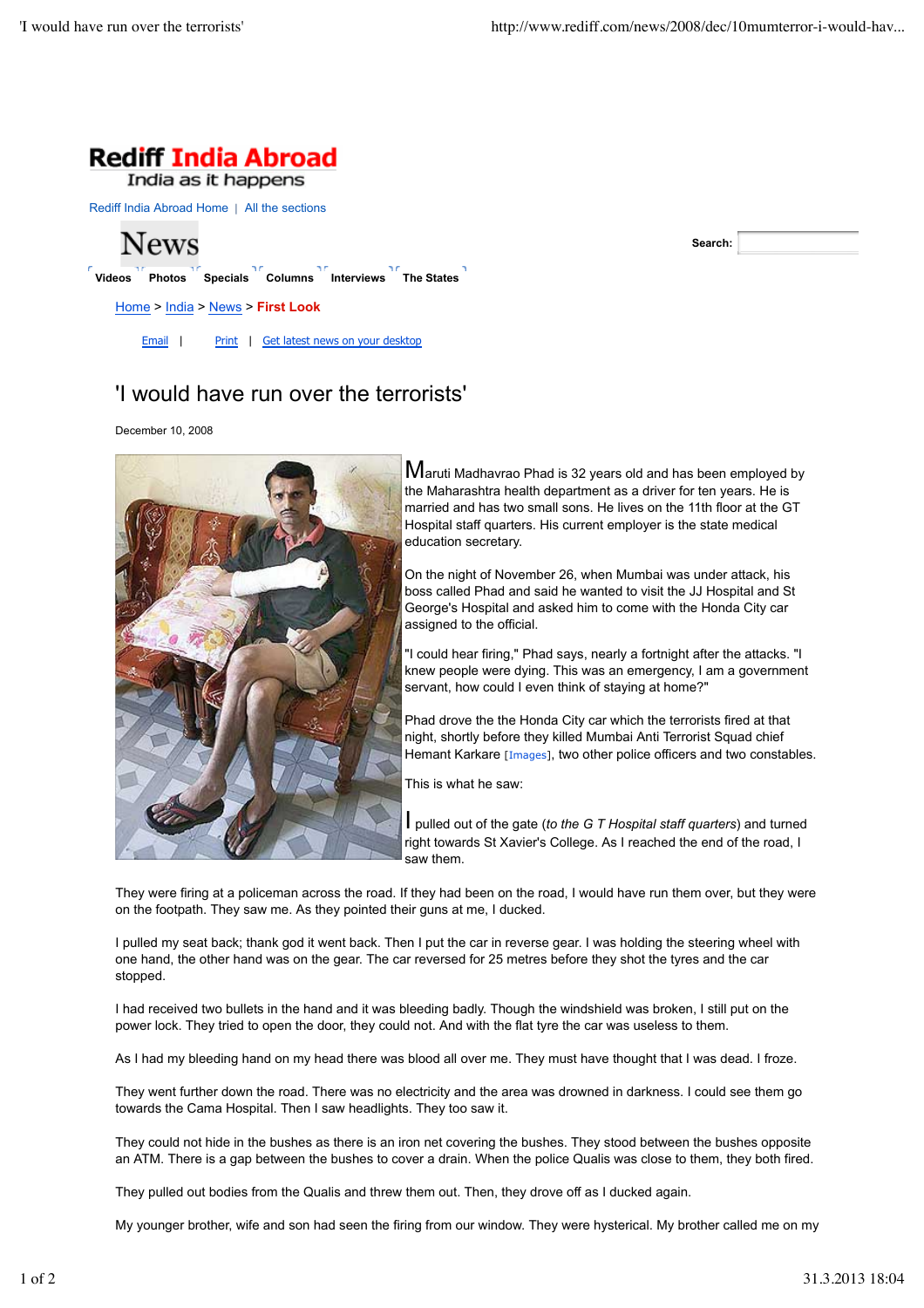

India as it happens

Rediff India Abroad Home | All the sections



**Search:**

## 'I would have run over the terrorists'

December 10, 2008



 $\mathsf M$ aruti Madhavrao Phad is 32 years old and has been employed by the Maharashtra health department as a driver for ten years. He is married and has two small sons. He lives on the 11th floor at the GT Hospital staff quarters. His current employer is the state medical education secretary.

On the night of November 26, when Mumbai was under attack, his boss called Phad and said he wanted to visit the JJ Hospital and St George's Hospital and asked him to come with the Honda City car assigned to the official.

"I could hear firing," Phad says, nearly a fortnight after the attacks. "I knew people were dying. This was an emergency, I am a government servant, how could I even think of staying at home?"

Phad drove the the Honda City car which the terrorists fired at that night, shortly before they killed Mumbai Anti Terrorist Squad chief Hemant Karkare [Images], two other police officers and two constables.

This is what he saw:

I pulled out of the gate (*to the G T Hospital staff quarters*) and turned right towards St Xavier's College. As I reached the end of the road, I saw them.

They were firing at a policeman across the road. If they had been on the road, I would have run them over, but they were on the footpath. They saw me. As they pointed their guns at me, I ducked.

I pulled my seat back; thank god it went back. Then I put the car in reverse gear. I was holding the steering wheel with one hand, the other hand was on the gear. The car reversed for 25 metres before they shot the tyres and the car stopped.

I had received two bullets in the hand and it was bleeding badly. Though the windshield was broken, I still put on the power lock. They tried to open the door, they could not. And with the flat tyre the car was useless to them.

As I had my bleeding hand on my head there was blood all over me. They must have thought that I was dead. I froze.

They went further down the road. There was no electricity and the area was drowned in darkness. I could see them go towards the Cama Hospital. Then I saw headlights. They too saw it.

They could not hide in the bushes as there is an iron net covering the bushes. They stood between the bushes opposite an ATM. There is a gap between the bushes to cover a drain. When the police Qualis was close to them, they both fired.

They pulled out bodies from the Qualis and threw them out. Then, they drove off as I ducked again.

My younger brother, wife and son had seen the firing from our window. They were hysterical. My brother called me on my